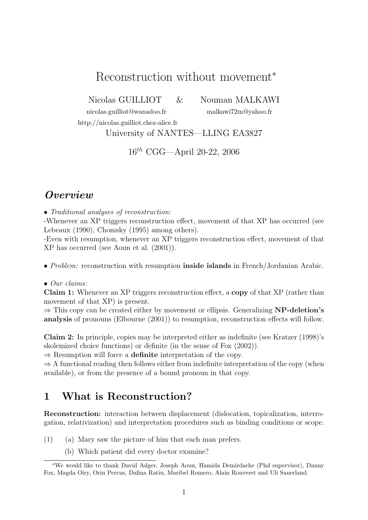# Reconstruction without movement<sup>∗</sup>

Nicolas GUILLIOT & Nouman MALKAWI

nicolas.guilliot@wanadoo.fr malkawi72m@yahoo.fr http://nicolas.guilliot.chez-alice.fr

University of NANTES—LLING EA3827

16th CGG—April 20-22, 2006

# **Overview**

• Traditional analyses of reconstruction:

-Whenever an XP triggers reconstruction effect, movement of that XP has occurred (see Lebeaux (1990), Chomsky (1995) among others).

-Even with resumption, whenever an XP triggers reconstruction effect, movement of that XP has occurred (see Aoun et al. (2001)).

• *Problem:* reconstruction with resumption **inside islands** in French/Jordanian Arabic.

#### • Our claims:

Claim 1: Whenever an XP triggers reconstruction effect, a copy of that XP (rather than movement of that XP) is present.

 $\Rightarrow$  This copy can be created either by movement or ellipsis. Generalizing **NP-deletion's** analysis of pronouns (Elbourne (2001)) to resumption, reconstruction effects will follow.

Claim 2: In principle, copies may be interpreted either as indefinite (see Kratzer (1998)'s skolemized choice functions) or definite (in the sense of Fox (2002)).

 $\Rightarrow$  Resumption will force a **definite** interpretation of the copy.

 $\Rightarrow$  A functional reading then follows either from indefinite interpretation of the copy (when available), or from the presence of a bound pronoun in that copy.

## 1 What is Reconstruction?

Reconstruction: interaction between displacement (dislocation, topicalization, interrogation, relativization) and interpretation procedures such as binding conditions or scope.

- (1) (a) Mary saw the picture of him that each man prefers.
	- (b) Which patient did every doctor examine?

<sup>∗</sup>We would like to thank David Adger, Joseph Aoun, Hamida Demirdache (Phd supervisor), Danny Fox, Magda Oiry, Orin Percus, Dafina Ratiu, Maribel Romero, Alain Rouveret and Uli Sauerland.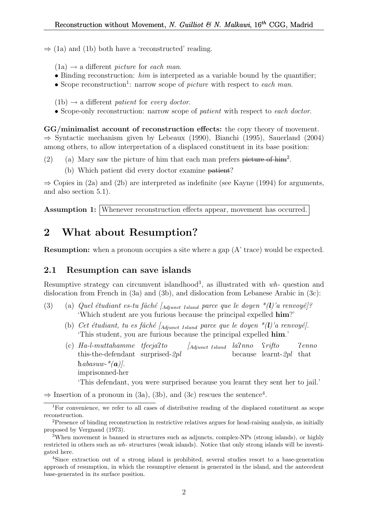$\Rightarrow$  (1a) and (1b) both have a 'reconstructed' reading.

 $(1a) \rightarrow a$  different *picture* for *each man*.

- Binding reconstruction:  $him$  is interpreted as a variable bound by the quantifier;
- Scope reconstruction<sup>1</sup>: narrow scope of *picture* with respect to each man.

 $(1b) \rightarrow a$  different patient for every doctor.

• Scope-only reconstruction: narrow scope of *patient* with respect to each doctor.

GG/minimalist account of reconstruction effects: the copy theory of movement. ⇒ Syntactic mechanism given by Lebeaux (1990), Bianchi (1995), Sauerland (2004) among others, to allow interpretation of a displaced constituent in its base position:

- (2) (a) Mary saw the picture of him that each man prefers picture of him<sup>2</sup>.
	- (b) Which patient did every doctor examine patient?

 $\Rightarrow$  Copies in (2a) and (2b) are interpreted as indefinite (see Kayne (1994) for arguments, and also section 5.1).

Assumption 1: Whenever reconstruction effects appear, movement has occurred.

## 2 What about Resumption?

Resumption: when a pronoun occupies a site where a gap (A' trace) would be expected.

### 2.1 Resumption can save islands

Resumptive strategy can circumvent islandhood<sup>3</sup>, as illustrated with wh-question and dislocation from French in (3a) and (3b), and dislocation from Lebanese Arabic in (3c):

- (3) (a) Quel étudiant es-tu fâché [ $_{Adiunct\; Island}$  parce que le doyen  $*(l)'$ a renvoyé]? 'Which student are you furious because the principal expelled him?'
	- (b) Cet étudiant, tu es fâché  $A_{dipunct}$  Island parce que le doyen  $*(l)$ 'a renvoyé]. 'This student, you are furious because the principal expelled him.'
	- (c) Ha-l-muttahamme tfeejaPto this-the-defendant surprised-2pl  $\int$ Adjunct Island  $la$ because learnt-2pl that *Srifto* Penno habasuw- $*(a)$ . imprisonned-her 'This defendant, you were surprised because you learnt they sent her to jail.'

 $\Rightarrow$  Insertion of a pronoun in (3a), (3b), and (3c) rescues the sentence<sup>4</sup>.

<sup>&</sup>lt;sup>1</sup>For convenience, we refer to all cases of distributive reading of the displaced constituent as scope reconstruction.

<sup>2</sup>Presence of binding reconstruction in restrictive relatives argues for head-raising analysis, as initially proposed by Vergnaud (1973).

<sup>3</sup>When movement is banned in structures such as adjuncts, complex-NPs (strong islands), or highly restricted in others such as wh- structures (weak islands). Notice that only strong islands will be investigated here.

<sup>4</sup>Since extraction out of a strong island is prohibited, several studies resort to a base-generation approach of resumption, in which the resumptive element is generated in the island, and the antecedent base-generated in its surface position.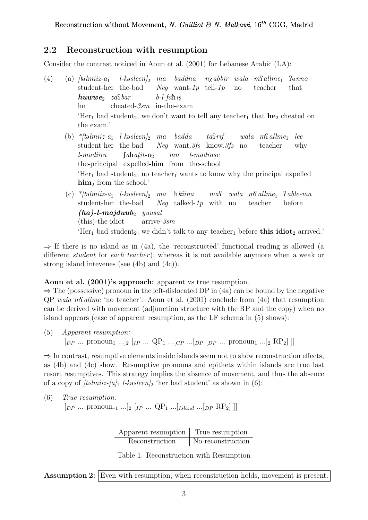### 2.2 Reconstruction with resumption

Consider the contrast noticed in Aoun et al. (2001) for Lebanese Arabic (LA):

- (4) (a)  $/t_0$   $Imiiz-a_1$ student-her the-bad  $l$ -kəsleen $l_2$  ma baddna n $\chi$ abbir wala m $\Omega$ allme<sub>1</sub> Neg want-1p tell-1p no teacher  $P<sub>anno</sub>$ that  $huvw$ e<sub>2</sub> zastbar he cheated-3sm in-the-exam  $b$ -l-fahis 'Her<sub>1</sub> bad student<sub>2</sub>, we don't want to tell any teacher<sub>1</sub> that  $he_2$  cheated on the exam.' (b)  $*$ [təlmiiz-a<sub>1</sub> l-kəsleen]<sub>2</sub> ma badda taQrif  $wala$   $m\Omega$ llme<sub>1</sub> lee
	- student-her the-bad Neg want.3fs know.3fs no teacher why l-mudiira the-principal expelled-him from the-school  $\int a \mathbf{h} a t i t \cdot \mathbf{o}_2$ mn l-madrase 'Her<sub>1</sub> bad student<sub>2</sub>, no teacher<sub>1</sub> wants to know why the principal expelled  $\lim_{2}$  from the school.
	- (c) \*/təlmiiz-a<sub>1</sub> l-kəsleen/<sub>2</sub> ma hkiina student-her the-bad Neg talked-1p with no  $ma\Omega$  wala m $\Omega$ allme<sub>1</sub> teacher Pable-ma before  $(ha)$ -l-majduub<sub>2</sub> yuusal (this)-the-idiot arrive-3sm 'Her<sub>1</sub> bad student<sub>2</sub>, we didn't talk to any teacher<sub>1</sub> before **this idiot**<sub>2</sub> arrived.'

 $\Rightarrow$  If there is no island as in (4a), the 'reconstructed' functional reading is allowed (a different *student* for *each teacher*), whereas it is not available anymore when a weak or strong island intevenes (see (4b) and (4c)).

#### Aoun et al. (2001)'s approach: apparent vs true resumption.

 $\Rightarrow$  The (possessive) pronoun in the left-dislocated DP in (4a) can be bound by the negative  $QP$  wala ms<sup>nsness</sup> allme 'no teacher'. Aoun et al. (2001) conclude from (4a) that resumption can be derived with movement (adjunction structure with the RP and the copy) when no island appears (case of apparent resumption, as the LF schema in (5) shows):

(5) Apparent resumption:  $[p_P \dots \text{ pronoun}_1 \dots]_2$   $[p \dots QP_1 \dots [cp \dots [pp \ p_P \dots \text{ pronoun}_1 \dots]_2$   $RP_2]$ 

 $\Rightarrow$  In contrast, resumptive elements inside islands seem not to show reconstruction effects, as (4b) and (4c) show. Resumptive pronouns and epithets within islands are true last resort resumptives. This strategy implies the absence of movement, and thus the absence of a copy of  $\ell \in \ell^2$  l-kasleen<sub>2</sub> 'her bad student' as shown in (6):

(6) *True resumption:*  
\n
$$
\begin{bmatrix} DP & \cdots & \text{pronoun}_{*1} & \cdots \end{bmatrix} \begin{bmatrix} I & \cdots & QP_1 & \cdots & I_{Sland} & \cdots & [DP & RP_2] \end{bmatrix}
$$

Apparent resumption True resumption Reconstruction No reconstruction

Table 1. Reconstruction with Resumption

Assumption 2: Even with resumption, when reconstruction holds, movement is present.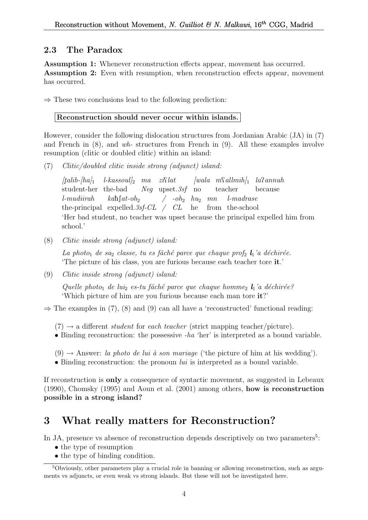## 2.3 The Paradox

Assumption 1: Whenever reconstruction effects appear, movement has occurred. Assumption 2: Even with resumption, when reconstruction effects appear, movement has occurred.

 $\Rightarrow$  These two conclusions lead to the following prediction:

### Reconstruction should never occur within islands.

However, consider the following dislocation structures from Jordanian Arabic (JA) in (7) and French in (8), and wh- structures from French in (9). All these examples involve resumption (clitic or doubled clitic) within an island:

(7) Clitic/doubled clitic inside strong (adjunct) island:

 $[tali b - h_a]_1$ student-her the-bad  $l$ -kassoul]<sub>2</sub> ma zi $\Omega$ lat Neg upset.3sf no  $[wala \t mSallmih]_1$   $la$ sannuh teacher because l-mudiirah the-principal expelled.  $3sf\text{-}CL$  /  $CL$  he from the-school  $kah\int at$ -oh<sub>2</sub>  $\int$  -oh<sub>2</sub>  $hu_2$  mn l-madrase 'Her bad student, no teacher was upset because the principal expelled him from school.'

(8) Clitic inside strong (adjunct) island:

La photo<sub>1</sub> de sa<sub>2</sub> classe, tu es fâché parce que chaque prof<sub>2</sub>  $\mathbf{l}_1$ 'a déchirée. 'The picture of his class, you are furious because each teacher tore it.'

(9) Clitic inside strong (adjunct) island:

Quelle photo<sub>1</sub> de lui<sub>2</sub> es-tu fâché parce que chaque homme<sub>2</sub>  $l_1$ 'a déchirée? 'Which picture of him are you furious because each man tore it?'

 $\Rightarrow$  The examples in (7), (8) and (9) can all have a 'reconstructed' functional reading:

 $(7) \rightarrow$  a different *student* for *each teacher* (strict mapping teacher/picture).

- Binding reconstruction: the possessive -ha 'her' is interpreted as a bound variable.
- $(9) \rightarrow$  Answer: la photo de lui à son mariage ('the picture of him at his wedding').
- Binding reconstruction: the pronoun  $lui$  is interpreted as a bound variable.

If reconstruction is only a consequence of syntactic movement, as suggested in Lebeaux (1990), Chomsky (1995) and Aoun et al. (2001) among others, how is reconstruction possible in a strong island?

# 3 What really matters for Reconstruction?

In JA, presence vs absence of reconstruction depends descriptively on two parameters<sup>5</sup>:

- the type of resumption
- the type of binding condition.

<sup>5</sup>Obviously, other parameters play a crucial role in banning or allowing reconstruction, such as arguments vs adjuncts, or even weak vs strong islands. But these will not be investigated here.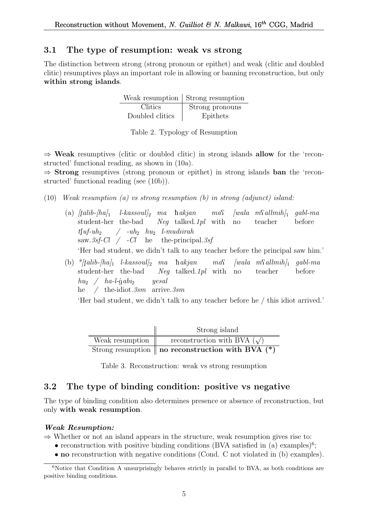### 3.1 The type of resumption: weak vs strong

The distinction between strong (strong pronoun or epithet) and weak (clitic and doubled clitic) resumptives plays an important role in allowing or banning reconstruction, but only within strong islands.

|                 | Weak resumption   Strong resumption |
|-----------------|-------------------------------------|
| Clitics         | Strong pronouns                     |
| Doubled clitics | Epithets                            |

Table 2. Typology of Resumption

 $\Rightarrow$  Weak resumptives (clitic or doubled clitic) in strong islands allow for the 'reconstructed' functional reading, as shown in (10a).

 $\Rightarrow$  **Strong** resumptives (strong pronoun or epithet) in strong islands **ban** the 'reconstructed' functional reading (see (10b)).

- (10) Weak resumption (a) vs strong resumption (b) in strong (adjunct) island:
	- (a)  $[talib-|ha]_1$  l-kassoul]<sub>2</sub> ma hakjan student-her the-bad Neg talked.1pl with no  $ma\Omega$  $[wala \ m\Omega] \t m\delta h]$  gabl-ma teacher before  $t\lceil uf-uh_2\rceil$  $\text{ saw.3sf-Cl}$  /  $\text{-Cl}$  he the-principal.3sf  $\int$  -uh<sub>2</sub> hu<sub>2</sub> l-mudiirah 'Her bad student, we didn't talk to any teacher before the principal saw him.'
	- (b)  $\frac{k}{t}$ alib-[ha]<sub>1</sub> l-kassoul]<sub>2</sub> ma hakjan student-her the-bad Neg talked.1pl with  $ma\Omega$  $[wala \ mSallmih]_1$  gabl-ma no teacher before  $hu_2 \quad / \quad ha$ -l-gabi<sub>2</sub> he / the-idiot.  $3sm$  arrive.  $3sm$ yesal

'Her bad student, we didn't talk to any teacher before he / this idiot arrived.'

|                 | Strong island                                                |
|-----------------|--------------------------------------------------------------|
| Weak resumption | reconstruction with BVA $(\sqrt)$                            |
|                 | Strong resumption $\parallel$ no reconstruction with BVA (*) |

Table 3. Reconstruction: weak vs strong resumption

### 3.2 The type of binding condition: positive vs negative

The type of binding condition also determines presence or absence of reconstruction, but only with weak resumption.

#### Weak Resumption:

 $\Rightarrow$  Whether or not an island appears in the structure, weak resumption gives rise to:

- reconstruction with positive binding conditions (BVA satisfied in  $(a)$  examples)<sup>6</sup>;
- no reconstruction with negative conditions (Cond. C not violated in (b) examples).

 $6$ Notice that Condition A unsurprisingly behaves strictly in parallel to BVA, as both conditions are positive binding conditions.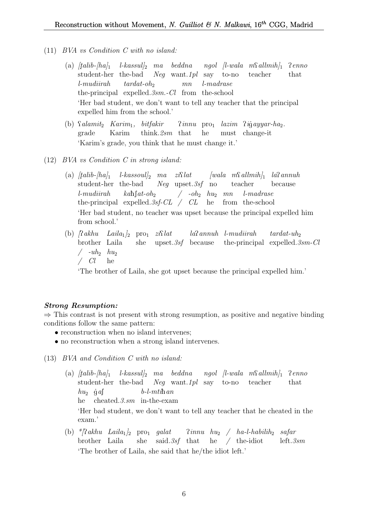- (11) BVA vs Condition C with no island:
	- $\alpha$   $[tail-ba]_1$  l-kassul]<sub>2</sub> ma beddna ngol [l-wala m $\Omega$ allmih]<sub>1</sub> student-her the-bad Neg want.1pl say to-no teacher Penno that l-mudiirah the-principal expelled. 3sm. - Cl from the-school  $tardat$ -oh<sub>2</sub> mn l-madrase 'Her bad student, we don't want to tell any teacher that the principal expelled him from the school.'
	- (b) *Salamit*<sub>2</sub> *Karim*<sub>1</sub>, *bitfakir* grade Karim think.2sm that Pinnu pro<sup>1</sup> lazim Pi gayyar-ha2. he must change-it 'Karim's grade, you think that he must change it.'
- (12) BVA vs Condition C in strong island:
	- $\alpha$  (a)  $[tailb$ - $[ha]_1$  l-kassoul]<sub>2</sub> ma zi $\Omega$ lat  $[wala$  m $\Omega$ allmih]<sub>1</sub> la $\Omega$ annuh student-her the-bad Neg upset.3sf no teacher because l-mudiirah the-principal expelled.  $3sf\text{-}CL$  /  $CL$  he from the-school  $kab$ [ $at$ - $oh$ <sub>2</sub>  $/$  -oh<sub>2</sub>  $hu_2$  mn l-madrase 'Her bad student, no teacher was upset because the principal expelled him from school.'
	- (b)  $\int \mathcal{R} a k h u$   $Laila_1 \vert_2$  pro<sub>1</sub>  $zi \mathcal{R} l$ brother Laila she upset.3sf because laPannuh l-mudiirah the-principal expelled. 3sm-Cl  $tardat$ -uh<sub>2</sub>  $/$  -uh<sub>2</sub>  $hu_2$ / Cl he

'The brother of Laila, she got upset because the principal expelled him.'

#### Strong Resumption:

 $\Rightarrow$  This contrast is not present with strong resumption, as positive and negative binding conditions follow the same pattern:

- reconstruction when no island intervenes;
- no reconstruction when a strong island intervenes.
- (13) BVA and Condition C with no island:
	- (a)  $[talib-[ha]_1$  l-kassul]<sub>2</sub> ma beddna ngol [l-wala m $\Omega$ allmih]<sub>1</sub>  $\Omega$ enno student-her the-bad Neg want.1pl say to-no teacher that  $hu_2$  gas he cheated.3.sm in-the-exam  $b$ -l- $m$ ti $\hbar$ an 'Her bad student, we don't want to tell any teacher that he cheated in the exam.'
	- (b) \*/?akhu Laila<sub>1</sub>/<sub>2</sub> pro<sub>1</sub> galat brother Laila she said. 3sf that he / the-idiot  $\lim_{n \to \infty}$   $\frac{h u_2}{n}$   $\frac{h a - l - h a b i l h_2}{n}$  safar left.3sm 'The brother of Laila, she said that he/the idiot left.'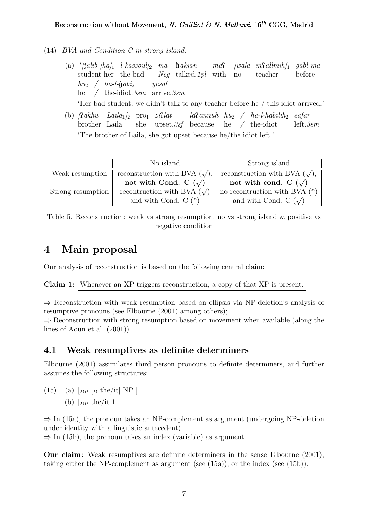- (14) BVA and Condition C in strong island:
	- $\hbox{(a)} \ \ {^*\! [tali\! b\!-\!\! [ha]\!}_1 \ \ \hbox{\it l-kassoul}]_2 \ \ \ ma \ \ \ \hbox{\it hakjan}$ student-her the-bad Neg talked.1pl with  $ma\Omega$  $[wala \ m\Omega dlmih]_1$ no teacher gabl-ma before  $h u_2 \quad / \quad h a$ -l-ġabi<sub>2</sub> he / the-idiot.3sm arrive.3sm yesal

'Her bad student, we didn't talk to any teacher before he / this idiot arrived.'

(b)  $\int \mathcal{R} a k h u$  Laila<sub>1</sub>  $\int_2$  pro<sub>1</sub>  $z i \mathcal{R} l a t$ brother Laila she upset.3sf because he / the-idiot  $la$ annuh  $hu_2$  /  $ha$ -l-habilih<sub>2</sub> safar left.3sm 'The brother of Laila, she got upset because he/the idiot left.'

|                   | No island                              | Strong island                       |
|-------------------|----------------------------------------|-------------------------------------|
| Weak resumption   | reconstruction with BVA $(\sqrt{\ }),$ | reconstruction with BVA $(\sqrt)$ , |
|                   | not with Cond. C $(\sqrt)$             | not with cond. C $(\sqrt)$          |
| Strong resumption | recontruction with BVA $(\sqrt)$       | no recontruction with BVA $(*)$     |
|                   | and with Cond. $C$ $(*)$               | and with Cond. C $(\sqrt)$          |

Table 5. Reconstruction: weak vs strong resumption, no vs strong island & positive vs negative condition

# 4 Main proposal

Our analysis of reconstruction is based on the following central claim:

Claim 1: Whenever an XP triggers reconstruction, a copy of that XP is present.

⇒ Reconstruction with weak resumption based on ellipsis via NP-deletion's analysis of resumptive pronouns (see Elbourne (2001) among others);

⇒ Reconstruction with strong resumption based on movement when available (along the lines of Aoun et al. (2001)).

## 4.1 Weak resumptives as definite determiners

Elbourne (2001) assimilates third person pronouns to definite determiners, and further assumes the following structures:

 $(15)$  (a)  $\lceil_{DP} \rceil_D$  the/it] NP (b)  $\lceil_{DP}$  the/it 1 ]

 $\Rightarrow$  In (15a), the pronoun takes an NP-complement as argument (undergoing NP-deletion under identity with a linguistic antecedent).

 $\Rightarrow$  In (15b), the pronoun takes an index (variable) as argument.

Our claim: Weak resumptives are definite determiners in the sense Elbourne (2001), taking either the NP-complement as argument (see (15a)), or the index (see (15b)).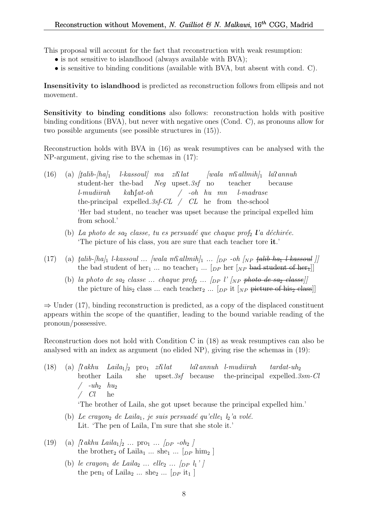This proposal will account for the fact that reconstruction with weak resumption:

- is not sensitive to islandhood (always available with BVA);
- is sensitive to binding conditions (available with BVA, but absent with cond. C).

Insensitivity to islandhood is predicted as reconstruction follows from ellipsis and not movement.

Sensitivity to binding conditions also follows: reconstruction holds with positive binding conditions (BVA), but never with negative ones (Cond. C), as pronouns allow for two possible arguments (see possible structures in (15)).

Reconstruction holds with BVA in (16) as weak resumptives can be analysed with the NP-argument, giving rise to the schemas in (17):

- $(16)$  (a)  $[talib-|ha]_1$ student-her the-bad  $l$ -kassoul] ma zi $\Omega$ lat Neg upset.3sf no  $[wala \t mSallmih]_1$   $la$ sannuh teacher because l-mudiirah the-principal expelled. 3sf-CL / CL he from the-school  $k$ ahf $at$ -oh / -oh hu mn l-madrase 'Her bad student, no teacher was upset because the principal expelled him from school.'
	- (b) La photo de saz classe, tu es persuadé que chaque prof<sub>2</sub> l'a déchirée. 'The picture of his class, you are sure that each teacher tore it.'
- (17) (a)  $\text{tail}\ \text{halib-}\ \text{halib-}\ \text{lassoul}$  ...  $\text{vala}$  m $\text{Salimih}\$ <sub>1</sub> ...  $\text{lpp}$  -oh  $\text{lpp}$   $\text{tail}\ \text{halib-}\ \text{ha}_{1}$  l-kassoul  $\text{ll}$ the bad student of her<sub>1</sub> ... no teacher<sub>1</sub> ... [<sub>DP</sub> her [<sub>NP</sub> bad student of her<sub>1</sub>]]
	- (b) la photo de sa<sub>2</sub> classe ... chaque prof<sub>2</sub> ...  $\langle$ <sub>DP</sub> l' $\langle$ <sub>NP</sub> photo de sa<sub>2</sub> classe) the picture of his<sub>2</sub> class ... each teacher<sub>2</sub> ...  $[p \text{p it } [NP]$  picture of his<sub>2</sub> class]

 $\Rightarrow$  Under (17), binding reconstruction is predicted, as a copy of the displaced constituent appears within the scope of the quantifier, leading to the bound variable reading of the pronoun/possessive.

Reconstruction does not hold with Condition C in (18) as weak resumptives can also be analysed with an index as argument (no elided NP), giving rise the schemas in (19):

- (18) (a)  $\int \mathcal{R} \, dkhu$   $Laila_1\vert_2$  pro<sub>1</sub>  $zi\mathcal{R} \mathcal{R}$ brother Laila she upset.3sf because laPannuh l-mudiirah the-principal expelled. 3sm-Cl  $tardat$ -uh<sub>2</sub>  $/$  -uh<sub>2</sub>  $hu_2$  $\angle$  Cl he 'The brother of Laila, she got upset because the principal expelled him.'
	- (b) Le crayon<sub>2</sub> de Laila<sub>1</sub>, je suis persuadé qu'elle<sub>1</sub>  $l_2$ 'a volé. Lit. 'The pen of Laila, I'm sure that she stole it.'
- (19) (a)  $\int$ Rakhu Laila<sub>1</sub> $\int_2$  ... pro<sub>1</sub> ...  $\int_{DP}$  -oh<sub>2</sub>  $\int$ the brother<sub>2</sub> of Laila<sub>1</sub> ... she<sub>1</sub> ... [ $_{DP}$  him<sub>2</sub>]
	- (b) le crayon<sub>1</sub> de Laila<sub>2</sub> ... elle<sub>2</sub> ...  $\lceil \ln \frac{1}{l} \rceil$ the pen<sub>1</sub> of Laila<sub>2</sub> ... she<sub>2</sub> ... [ $_{DP}$  it<sub>1</sub>]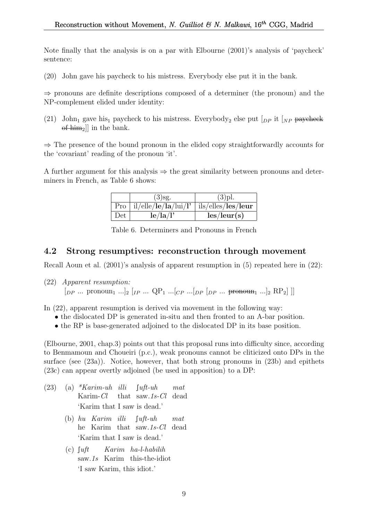Note finally that the analysis is on a par with Elbourne (2001)'s analysis of 'paycheck' sentence:

(20) John gave his paycheck to his mistress. Everybody else put it in the bank.

⇒ pronouns are definite descriptions composed of a determiner (the pronoun) and the NP-complement elided under identity:

(21) John<sub>1</sub> gave his<sub>1</sub> paycheck to his mistress. Everybody<sub>2</sub> else put  $\lceil_{DP}$  it  $\lceil_{NP}$  paycheck of  $\lim_{2}$ ] in the bank.

⇒ The presence of the bound pronoun in the elided copy straightforwardly accounts for the 'covariant' reading of the pronoun 'it'.

A further argument for this analysis  $\Rightarrow$  the great similarity between pronouns and determiners in French, as Table 6 shows:

|     | $(3)$ sg.                  | $(3)$ pl.                   |
|-----|----------------------------|-----------------------------|
|     | Pro   il/elle/le/la/lui/l' | ils/elles/les/leur          |
| Det | le/la/l'                   | $\text{les}/\text{leur}(s)$ |

Table 6. Determiners and Pronouns in French

#### 4.2 Strong resumptives: reconstruction through movement

Recall Aoun et al. (2001)'s analysis of apparent resumption in (5) repeated here in (22):

(22) Apparent resumption:  $[p_P \dots \text{ pronoun}_1 \dots]_2 [ip \dots QP_1 \dots [cp \dots [pp \ p_P \dots \text{ pronoun}_1 \dots]_2 RP_2]$ 

In (22), apparent resumption is derived via movement in the following way:

- the dislocated DP is generated in-situ and then fronted to an A-bar position.
- the RP is base-generated adjoined to the dislocated DP in its base position.

(Elbourne, 2001, chap.3) points out that this proposal runs into difficulty since, according to Benmamoun and Choueiri (p.c.), weak pronouns cannot be cliticized onto DPs in the surface (see  $(23a)$ ). Notice, however, that both strong pronouns in  $(23b)$  and epithets (23c) can appear overtly adjoined (be used in apposition) to a DP:

- $(23)$  (a) \*Karim-uh illi Karim-Cl that saw.1s-Cl  $\int u \, dt$ -uh mat dead 'Karim that I saw is dead.'
	- (b) hu Karim illi he Karim that saw.1s-Cl dead  $\lceil$ uft-uh mat 'Karim that I saw is dead.'
	- $(c)$  fuft saw.1s Karim this-the-idiot Karim ha-l-habilih 'I saw Karim, this idiot.'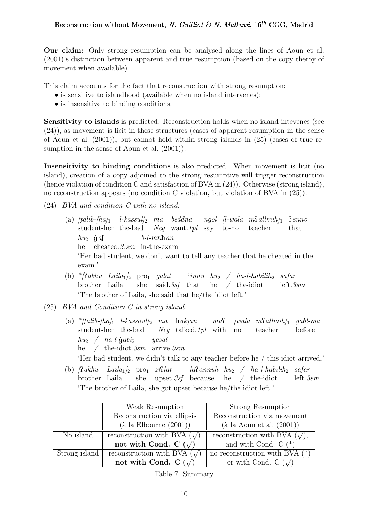Our claim: Only strong resumption can be analysed along the lines of Aoun et al. (2001)'s distinction between apparent and true resumption (based on the copy theroy of movement when available).

This claim accounts for the fact that reconstruction with strong resumption:

- is sensitive to islandhood (available when no island intervenes);
- is insensitive to binding conditions.

Sensitivity to islands is predicted. Reconstruction holds when no island intevenes (see (24)), as movement is licit in these structures (cases of apparent resumption in the sense of Aoun et al. (2001)), but cannot hold within strong islands in (25) (cases of true resumption in the sense of Aoun et al. (2001)).

Insensitivity to binding conditions is also predicted. When movement is licit (no island), creation of a copy adjoined to the strong resumptive will trigger reconstruction (hence violation of condition C and satisfaction of BVA in (24)). Otherwise (strong island), no reconstruction appears (no condition C violation, but violation of BVA in (25)).

- (24) BVA and condition C with no island:
	- (a)  $\frac{|tali b h_a|_1}{|tali b h_a|_1}$ student-her the-bad Neg want.1pl say to-no teacher  $\emph{l-kassul}_2$  ma beddna ngol [l-wala m $\emph{Sallmih}_1$ ] Penno that  $hu_2$  gas he cheated.3.sm in-the-exam  $b$ -l- $mti$ h an 'Her bad student, we don't want to tell any teacher that he cheated in the exam.'
	- (b) \*/?akhu Laila<sub>1</sub>/<sub>2</sub> pro<sub>1</sub> galat brother Laila she said.3sf that  $\lim_{n \to \infty}$  / ha-l-habilih<sub>2</sub> safar he / the-idiot left.3sm 'The brother of Laila, she said that he/the idiot left.'
- (25) BVA and Condition C in strong island:
	- (a)  $\frac{k}{t}$ alib- $[ha]_1$  l-kassoul]<sub>2</sub> ma hakjan ma $\Omega$ student-her the-bad Neg talked.1pl with no  $[wala \t m\Omega] \t m\delta h]$  gabl-ma teacher before  $h_{u_2}$  /  $ha$ -l-gabi<sub>2</sub> he / the-idiot.3sm arrive.3sm yesal 'Her bad student, we didn't talk to any teacher before he / this idiot arrived.'
	- (b)  $\int \mathcal{R} a k h u$   $Laila_1 \vert_2$  pro<sub>1</sub>  $zi \mathcal{R} l$ brother Laila she upset.3sf because he / the-idiot  $la$ annuh hu<sub>2</sub> / ha-l-habilih<sub>2</sub> safar left.3sm 'The brother of Laila, she got upset because he/the idiot left.'

|               | Weak Resumption                           | Strong Resumption                   |
|---------------|-------------------------------------------|-------------------------------------|
|               | Reconstruction via ellipsis               | Reconstruction via movement         |
|               | $(\grave{a} \text{ la Elbourne } (2001))$ | $(\text{à la Aoun et al. } (2001))$ |
| No island     | reconstruction with BVA $(\sqrt)$ ,       | reconstruction with BVA $(\sqrt)$ , |
|               | not with Cond. C $(\sqrt)$                | and with Cond. $C$ $(*)$            |
| Strong island | reconstruction with BVA $(\sqrt)$         | no reconstruction with BVA $(*)$    |
|               | not with Cond. C $(\sqrt)$                | or with Cond. C $(\sqrt)$           |

Table 7. Summary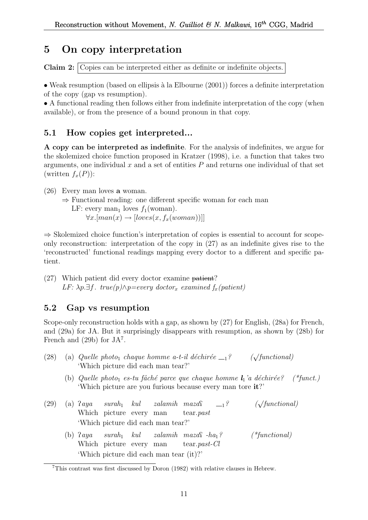# 5 On copy interpretation

Claim 2: Copies can be interpreted either as definite or indefinite objects.

• Weak resumption (based on ellipsis à la Elbourne  $(2001)$ ) forces a definite interpretation of the copy (gap vs resumption).

• A functional reading then follows either from indefinite interpretation of the copy (when available), or from the presence of a bound pronoun in that copy.

## 5.1 How copies get interpreted...

A copy can be interpreted as indefinite. For the analysis of indefinites, we argue for the skolemized choice function proposed in Kratzer (1998), i.e. a function that takes two arguments, one individual  $x$  and a set of entities  $P$  and returns one individual of that set (written  $f_x(P)$ ):

(26) Every man loves a woman.

⇒ Functional reading: one different specific woman for each man LF: every man<sub>1</sub> loves  $f_1(\text{woman})$ .  $\forall x. [man(x) \rightarrow [loves(x, f_x(woman))]]$ 

⇒ Skolemized choice function's interpretation of copies is essential to account for scopeonly reconstruction: interpretation of the copy in (27) as an indefinite gives rise to the 'reconstructed' functional readings mapping every doctor to a different and specific patient.

(27) Which patient did every doctor examine patient? LF:  $\lambda p.\exists f. true(p) \wedge p=every$  doctor<sub>x</sub> examined  $f_x(patient)$ 

## 5.2 Gap vs resumption

Scope-only reconstruction holds with a gap, as shown by (27) for English, (28a) for French, and (29a) for JA. But it surprisingly disappears with resumption, as shown by (28b) for French and  $(29b)$  for  $JA<sup>7</sup>$ .

- (28) (a) Quelle photo<sub>1</sub> chaque homme a-t-il déchirée  $-1$ ? ( $\sqrt{\text{functional}}$ ) 'Which picture did each man tear?'
	- (b) Quelle photo<sub>1</sub> es-tu fâché parce que chaque homme  $l_1$ 'a déchirée? (\*funct.) 'Which picture are you furious because every man tore it?'
- $(29)$  (a)  $2 \text{ } aya$ Which picture every man  $\textit{surah}_1$   $\textit{kul}$ zalamih maza<sup>c</sup> tear.past  $\frac{1}{2}$  ( $\sqrt{\text{functional}}$ ) 'Which picture did each man tear?'
	- $(b)$   $2aya$ Which picture every man  $\textit{surah}_1$   $\textit{kul}$  $zalamih$   $maxa\$   $-ha<sub>1</sub>$ ? (\*functional) tear.past-Cl 'Which picture did each man tear (it)?'

<sup>7</sup>This contrast was first discussed by Doron (1982) with relative clauses in Hebrew.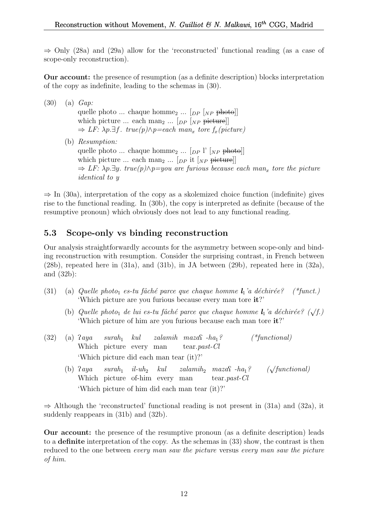$\Rightarrow$  Only (28a) and (29a) allow for the 'reconstructed' functional reading (as a case of scope-only reconstruction).

Our account: the presence of resumption (as a definite description) blocks interpretation of the copy as indefinite, leading to the schemas in (30).

(30) (a) Gap: quelle photo ... chaque homme<sub>2</sub> ...  $\lceil_{DP} \rceil_{NP}$  photo] which picture ... each man<sub>2</sub> ...  $[_{DP}$   $]_{NP}$  picture]]  $\Rightarrow$  LF:  $\lambda p.\exists f$ . true(p) $\wedge p =$ each man<sub>x</sub> tore f<sub>x</sub>(picture) (b) Resumption: quelle photo ... chaque homme<sub>2</sub> ...  $[p_P] \mid [NP]$  photo] which picture ... each man<sub>2</sub> ...  $[p \text{ } p \text{ }]$  it  $[p \text{ } p \text{ }]$  $\Rightarrow$  LF:  $\lambda p.\exists y.$  true(p) $\wedge p = you$  are furious because each man<sub>x</sub> tore the picture identical to y

 $\Rightarrow$  In (30a), interpretation of the copy as a skolemized choice function (indefinite) gives rise to the functional reading. In (30b), the copy is interpreted as definite (because of the resumptive pronoun) which obviously does not lead to any functional reading.

## 5.3 Scope-only vs binding reconstruction

Our analysis straightforwardly accounts for the asymmetry between scope-only and binding reconstruction with resumption. Consider the surprising contrast, in French between (28b), repeated here in (31a), and (31b), in JA between (29b), repeated here in (32a), and (32b):

- (31) (a) Quelle photo<sub>1</sub> es-tu fâché parce que chaque homme  $l_1$ 'a déchirée? (\*funct.) 'Which picture are you furious because every man tore it?'
	- (b) Quelle photo<sub>1</sub> de lui es-tu fâché parce que chaque homme  $l_1$ 'a déchirée? ( $\sqrt{f}$ .) 'Which picture of him are you furious because each man tore it?'
- $(32)$  (a)  $2aya$ Which picture every man  $\textit{surah}_1$  kul zalamih maza $\Omega$ -ha<sub>1</sub>? (\*functional) tear.past-Cl 'Which picture did each man tear (it)?'
	- $(b)$   $2aya$ Which picture of-him every man  $\textit{surah}_1$  il-uh<sub>2</sub> kul  $zalamih_2$  maza $\Omega$  -ha<sub>1</sub>? ( $\sqrt{}$  $(\sqrt{functional})$ tear.past-Cl 'Which picture of him did each man tear (it)?'

 $\Rightarrow$  Although the 'reconstructed' functional reading is not present in (31a) and (32a), it suddenly reappears in (31b) and (32b).

Our account: the presence of the resumptive pronoun (as a definite description) leads to a definite interpretation of the copy. As the schemas in (33) show, the contrast is then reduced to the one between *every man saw the picture* versus *every man saw the picture* of him.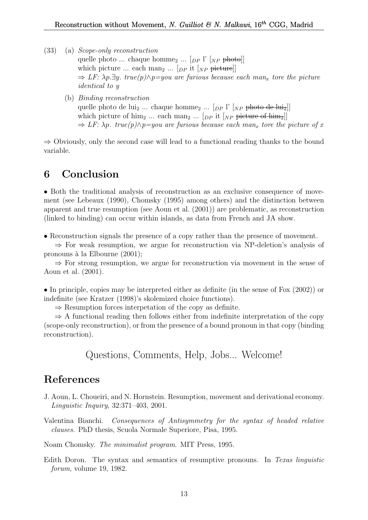- (33) (a) Scope-only reconstruction quelle photo ... chaque homme<sub>2</sub> ...  $[p] \mid N_P$  photo which picture ... each man<sub>2</sub> ...  $[p_P$  it  $[N_P]$  picture  $\Rightarrow$  LF:  $\lambda p.\exists y.$  true(p) $\wedge p = you$  are furious because each man<sub>x</sub> tore the picture identical to y
	- (b) Binding reconstruction quelle photo de lui<sub>2</sub> ... chaque homme<sub>2</sub> ...  $\lceil_{DP} \rceil$ <sup>'</sup>  $\lceil_{NP}$  photo de lui<sub>2</sub>] which picture of him<sub>2</sub> ... each man<sub>2</sub> ... [ $_{DP}$  it [ $_{NP}$  picture of him<sub>2</sub>]]  $\Rightarrow$  LF:  $\lambda p$ . true(p) $\wedge p =$ you are furious because each man<sub>x</sub> tore the picture of x

 $\Rightarrow$  Obviously, only the second case will lead to a functional reading thanks to the bound variable.

# 6 Conclusion

• Both the traditional analysis of reconstruction as an exclusive consequence of movement (see Lebeaux (1990), Chomsky (1995) among others) and the distinction between apparent and true resumption (see Aoun et al. (2001)) are problematic, as reconstruction (linked to binding) can occur within islands, as data from French and JA show.

• Reconstruction signals the presence of a copy rather than the presence of movement.

⇒ For weak resumption, we argue for reconstruction via NP-deletion's analysis of pronouns à la Elbourne  $(2001);$ 

 $\Rightarrow$  For strong resumption, we argue for reconstruction via movement in the sense of Aoun et al. (2001).

• In principle, copies may be interpreted either as definite (in the sense of Fox (2002)) or indefinite (see Kratzer (1998)'s skolemized choice functions).

 $\Rightarrow$  Resumption forces interpetation of the copy as definite.

 $\Rightarrow$  A functional reading then follows either from indefinite interpretation of the copy (scope-only reconstruction), or from the presence of a bound pronoun in that copy (binding reconstruction).

Questions, Comments, Help, Jobs... Welcome!

# References

- J. Aoun, L. Choueiri, and N. Hornstein. Resumption, movement and derivational economy. Linguistic Inquiry, 32:371–403, 2001.
- Valentina Bianchi. Consequences of Antisymmetry for the syntax of headed relative clauses. PhD thesis, Scuola Normale Superiore, Pisa, 1995.

Noam Chomsky. The minimalist program. MIT Press, 1995.

Edith Doron. The syntax and semantics of resumptive pronouns. In Texas linguistic forum, volume 19, 1982.